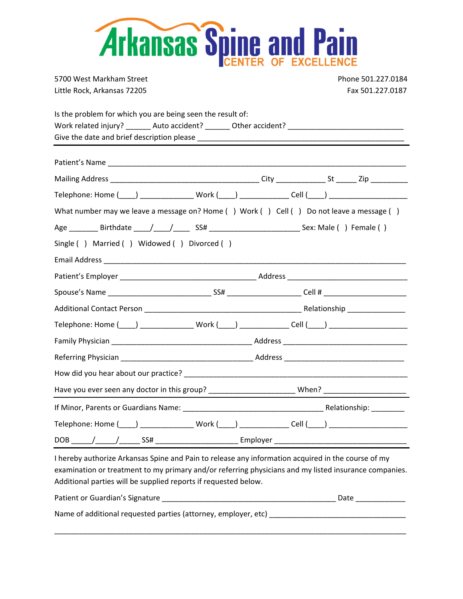| <b>Arkansas Spine and Pain</b>                                                                                                                                                                                                 |                    |  |  |  |
|--------------------------------------------------------------------------------------------------------------------------------------------------------------------------------------------------------------------------------|--------------------|--|--|--|
| 5700 West Markham Street                                                                                                                                                                                                       | Phone 501.227.0184 |  |  |  |
| Little Rock, Arkansas 72205                                                                                                                                                                                                    | Fax 501.227.0187   |  |  |  |
| Is the problem for which you are being seen the result of:<br>Work related injury? _______ Auto accident? _______ Other accident? ________________________________                                                             |                    |  |  |  |
| Patient's Name and the contract of the contract of the contract of the contract of the contract of the contract of the contract of the contract of the contract of the contract of the contract of the contract of the contrac |                    |  |  |  |
|                                                                                                                                                                                                                                |                    |  |  |  |
| Telephone: Home (____) _________________ Work (____) ______________ Cell (____) ____________________                                                                                                                           |                    |  |  |  |
| What number may we leave a message on? Home () Work () Cell () Do not leave a message ()                                                                                                                                       |                    |  |  |  |
|                                                                                                                                                                                                                                |                    |  |  |  |
| Single () Married () Widowed () Divorced ()                                                                                                                                                                                    |                    |  |  |  |
|                                                                                                                                                                                                                                |                    |  |  |  |
|                                                                                                                                                                                                                                |                    |  |  |  |
|                                                                                                                                                                                                                                |                    |  |  |  |
|                                                                                                                                                                                                                                |                    |  |  |  |
| Telephone: Home (____) ________________ Work (____) ______________ Cell (____) _____________________                                                                                                                           |                    |  |  |  |
|                                                                                                                                                                                                                                |                    |  |  |  |
|                                                                                                                                                                                                                                |                    |  |  |  |
|                                                                                                                                                                                                                                |                    |  |  |  |
| Have you ever seen any doctor in this group? ____________________________When? _______________________________                                                                                                                 |                    |  |  |  |
|                                                                                                                                                                                                                                |                    |  |  |  |
| Telephone: Home (____) ________________ Work (____) ______________ Cell (____) ____________________                                                                                                                            |                    |  |  |  |
|                                                                                                                                                                                                                                |                    |  |  |  |

I hereby authorize Arkansas Spine and Pain to release any information acquired in the course of my examination or treatment to my primary and/or referring physicians and my listed insurance companies. Additional parties will be supplied reports if requested below.

| Patient or Guardian's Signature                                | Date |
|----------------------------------------------------------------|------|
| Name of additional requested parties (attorney, employer, etc) |      |

\_\_\_\_\_\_\_\_\_\_\_\_\_\_\_\_\_\_\_\_\_\_\_\_\_\_\_\_\_\_\_\_\_\_\_\_\_\_\_\_\_\_\_\_\_\_\_\_\_\_\_\_\_\_\_\_\_\_\_\_\_\_\_\_\_\_\_\_\_\_\_\_\_\_\_\_\_\_\_\_\_\_\_\_\_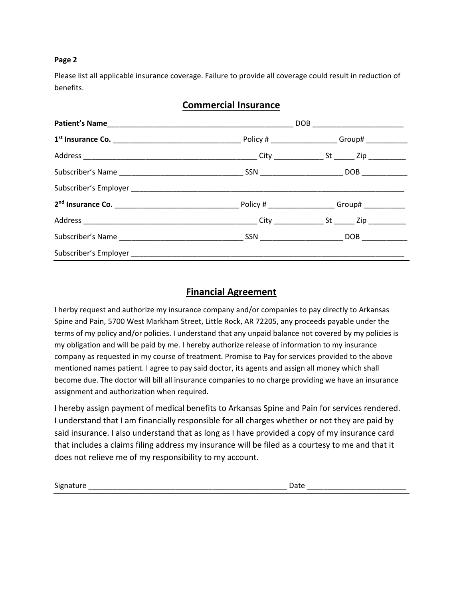### **Page 2**

Please list all applicable insurance coverage. Failure to provide all coverage could result in reduction of benefits.

|  | <b>Commercial Insurance</b> |
|--|-----------------------------|
|--|-----------------------------|

## **Financial Agreement**

I herby request and authorize my insurance company and/or companies to pay directly to Arkansas Spine and Pain, 5700 West Markham Street, Little Rock, AR 72205, any proceeds payable under the terms of my policy and/or policies. I understand that any unpaid balance not covered by my policies is my obligation and will be paid by me. I hereby authorize release of information to my insurance company as requested in my course of treatment. Promise to Pay for services provided to the above mentioned names patient. I agree to pay said doctor, its agents and assign all money which shall become due. The doctor will bill all insurance companies to no charge providing we have an insurance assignment and authorization when required.

I hereby assign payment of medical benefits to Arkansas Spine and Pain for services rendered. I understand that I am financially responsible for all charges whether or not they are paid by said insurance. I also understand that as long as I have provided a copy of my insurance card that includes a claims filing address my insurance will be filed as a courtesy to me and that it does not relieve me of my responsibility to my account.

Signature \_\_\_\_\_\_\_\_\_\_\_\_\_\_\_\_\_\_\_\_\_\_\_\_\_\_\_\_\_\_\_\_\_\_\_\_\_\_\_\_\_\_\_\_\_\_\_\_ Date \_\_\_\_\_\_\_\_\_\_\_\_\_\_\_\_\_\_\_\_\_\_\_\_